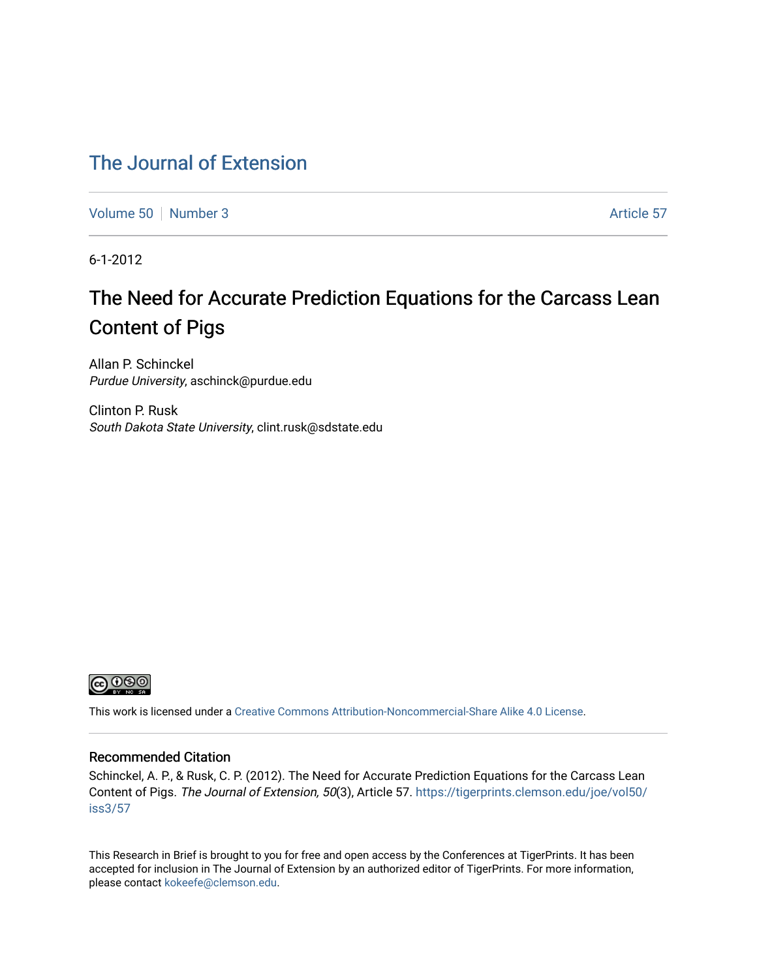# [The Journal of Extension](https://tigerprints.clemson.edu/joe)

[Volume 50](https://tigerprints.clemson.edu/joe/vol50) [Number 3](https://tigerprints.clemson.edu/joe/vol50/iss3) Article 57

6-1-2012

# The Need for Accurate Prediction Equations for the Carcass Lean Content of Pigs

Allan P. Schinckel Purdue University, aschinck@purdue.edu

Clinton P. Rusk South Dakota State University, clint.rusk@sdstate.edu



This work is licensed under a [Creative Commons Attribution-Noncommercial-Share Alike 4.0 License.](https://creativecommons.org/licenses/by-nc-sa/4.0/)

#### Recommended Citation

Schinckel, A. P., & Rusk, C. P. (2012). The Need for Accurate Prediction Equations for the Carcass Lean Content of Pigs. The Journal of Extension, 50(3), Article 57. [https://tigerprints.clemson.edu/joe/vol50/](https://tigerprints.clemson.edu/joe/vol50/iss3/57) [iss3/57](https://tigerprints.clemson.edu/joe/vol50/iss3/57) 

This Research in Brief is brought to you for free and open access by the Conferences at TigerPrints. It has been accepted for inclusion in The Journal of Extension by an authorized editor of TigerPrints. For more information, please contact [kokeefe@clemson.edu](mailto:kokeefe@clemson.edu).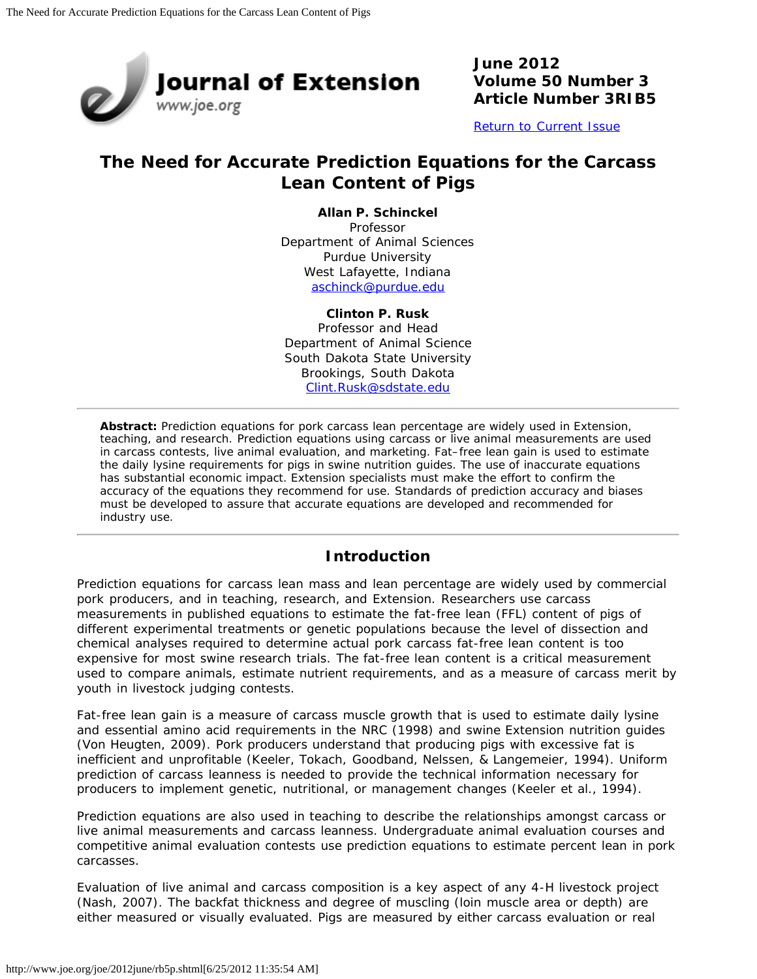

**June 2012 Volume 50 Number 3 Article Number 3RIB5**

[Return to Current Issue](http://www.joe.org/joe/2012june/)

## **The Need for Accurate Prediction Equations for the Carcass Lean Content of Pigs**

**Allan P. Schinckel**

Professor Department of Animal Sciences Purdue University West Lafayette, Indiana [aschinck@purdue.edu](mailto:aschinck@purdue.edu)

#### **Clinton P. Rusk**

Professor and Head Department of Animal Science South Dakota State University Brookings, South Dakota [Clint.Rusk@sdstate.edu](mailto:Clint.Rusk@sdstate.edu)

*Abstract: Prediction equations for pork carcass lean percentage are widely used in Extension, teaching, and research. Prediction equations using carcass or live animal measurements are used in carcass contests, live animal evaluation, and marketing. Fat–free lean gain is used to estimate the daily lysine requirements for pigs in swine nutrition guides. The use of inaccurate equations has substantial economic impact. Extension specialists must make the effort to confirm the accuracy of the equations they recommend for use. Standards of prediction accuracy and biases must be developed to assure that accurate equations are developed and recommended for industry use.*

#### **Introduction**

Prediction equations for carcass lean mass and lean percentage are widely used by commercial pork producers, and in teaching, research, and Extension. Researchers use carcass measurements in published equations to estimate the fat-free lean (FFL) content of pigs of different experimental treatments or genetic populations because the level of dissection and chemical analyses required to determine actual pork carcass fat-free lean content is too expensive for most swine research trials. The fat-free lean content is a critical measurement used to compare animals, estimate nutrient requirements, and as a measure of carcass merit by youth in livestock judging contests.

Fat-free lean gain is a measure of carcass muscle growth that is used to estimate daily lysine and essential amino acid requirements in the NRC (1998) and swine Extension nutrition guides (Von Heugten, 2009). Pork producers understand that producing pigs with excessive fat is inefficient and unprofitable (Keeler, Tokach, Goodband, Nelssen, & Langemeier, 1994). Uniform prediction of carcass leanness is needed to provide the technical information necessary for producers to implement genetic, nutritional, or management changes (Keeler et al., 1994).

Prediction equations are also used in teaching to describe the relationships amongst carcass or live animal measurements and carcass leanness. Undergraduate animal evaluation courses and competitive animal evaluation contests use prediction equations to estimate percent lean in pork carcasses.

Evaluation of live animal and carcass composition is a key aspect of any 4-H livestock project (Nash, 2007). The backfat thickness and degree of muscling (loin muscle area or depth) are either measured or visually evaluated. Pigs are measured by either carcass evaluation or real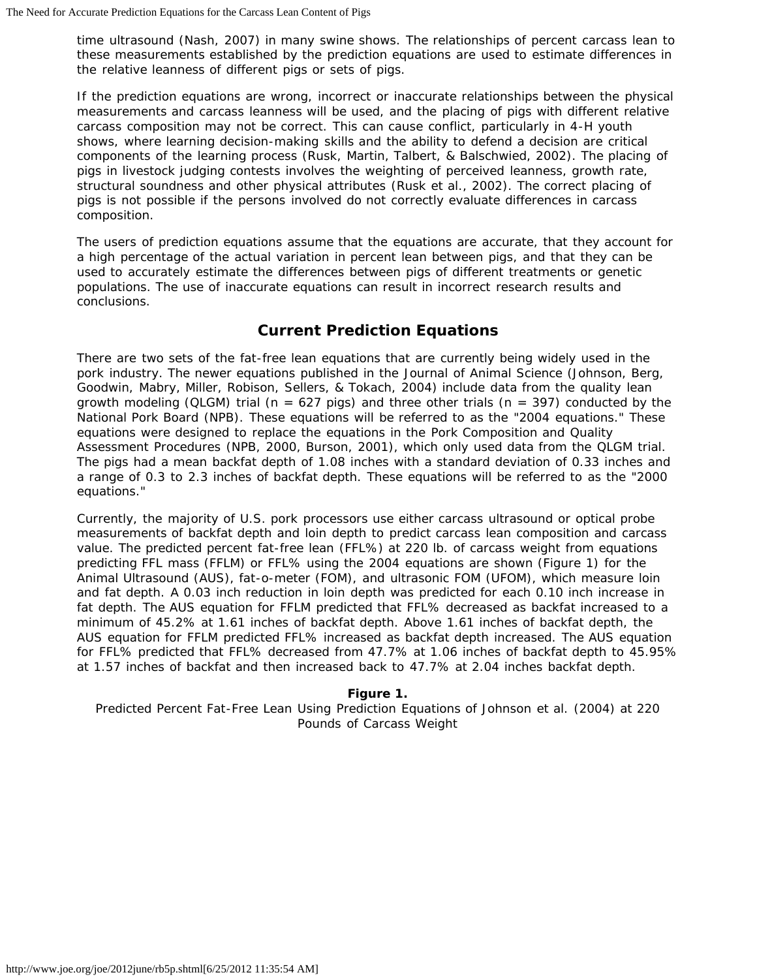time ultrasound (Nash, 2007) in many swine shows. The relationships of percent carcass lean to these measurements established by the prediction equations are used to estimate differences in the relative leanness of different pigs or sets of pigs.

If the prediction equations are wrong, incorrect or inaccurate relationships between the physical measurements and carcass leanness will be used, and the placing of pigs with different relative carcass composition may not be correct. This can cause conflict, particularly in 4-H youth shows, where learning decision-making skills and the ability to defend a decision are critical components of the learning process (Rusk, Martin, Talbert, & Balschwied, 2002). The placing of pigs in livestock judging contests involves the weighting of perceived leanness, growth rate, structural soundness and other physical attributes (Rusk et al., 2002). The correct placing of pigs is not possible if the persons involved do not correctly evaluate differences in carcass composition.

The users of prediction equations assume that the equations are accurate, that they account for a high percentage of the actual variation in percent lean between pigs, and that they can be used to accurately estimate the differences between pigs of different treatments or genetic populations. The use of inaccurate equations can result in incorrect research results and conclusions.

## **Current Prediction Equations**

There are two sets of the fat-free lean equations that are currently being widely used in the pork industry. The newer equations published in the *Journal of Animal Science* (Johnson, Berg, Goodwin, Mabry, Miller, Robison, Sellers, & Tokach, 2004) include data from the quality lean growth modeling (QLGM) trial ( $n = 627$  pigs) and three other trials ( $n = 397$ ) conducted by the National Pork Board (NPB). These equations will be referred to as the "2004 equations." These equations were designed to replace the equations in the Pork Composition and Quality Assessment Procedures (NPB, 2000, Burson, 2001), which only used data from the QLGM trial. The pigs had a mean backfat depth of 1.08 inches with a standard deviation of 0.33 inches and a range of 0.3 to 2.3 inches of backfat depth. These equations will be referred to as the "2000 equations."

Currently, the majority of U.S. pork processors use either carcass ultrasound or optical probe measurements of backfat depth and loin depth to predict carcass lean composition and carcass value. The predicted percent fat-free lean (FFL%) at 220 lb. of carcass weight from equations predicting FFL mass (FFLM) or FFL% using the 2004 equations are shown (Figure 1) for the Animal Ultrasound (AUS), fat-o-meter (FOM), and ultrasonic FOM (UFOM), which measure loin and fat depth. A 0.03 inch reduction in loin depth was predicted for each 0.10 inch increase in fat depth. The AUS equation for FFLM predicted that FFL% decreased as backfat increased to a minimum of 45.2% at 1.61 inches of backfat depth. Above 1.61 inches of backfat depth, the AUS equation for FFLM predicted FFL% increased as backfat depth increased. The AUS equation for FFL% predicted that FFL% decreased from 47.7% at 1.06 inches of backfat depth to 45.95% at 1.57 inches of backfat and then increased back to 47.7% at 2.04 inches backfat depth.

#### **Figure 1.**

Predicted Percent Fat-Free Lean Using Prediction Equations of Johnson et al. (2004) at 220 Pounds of Carcass Weight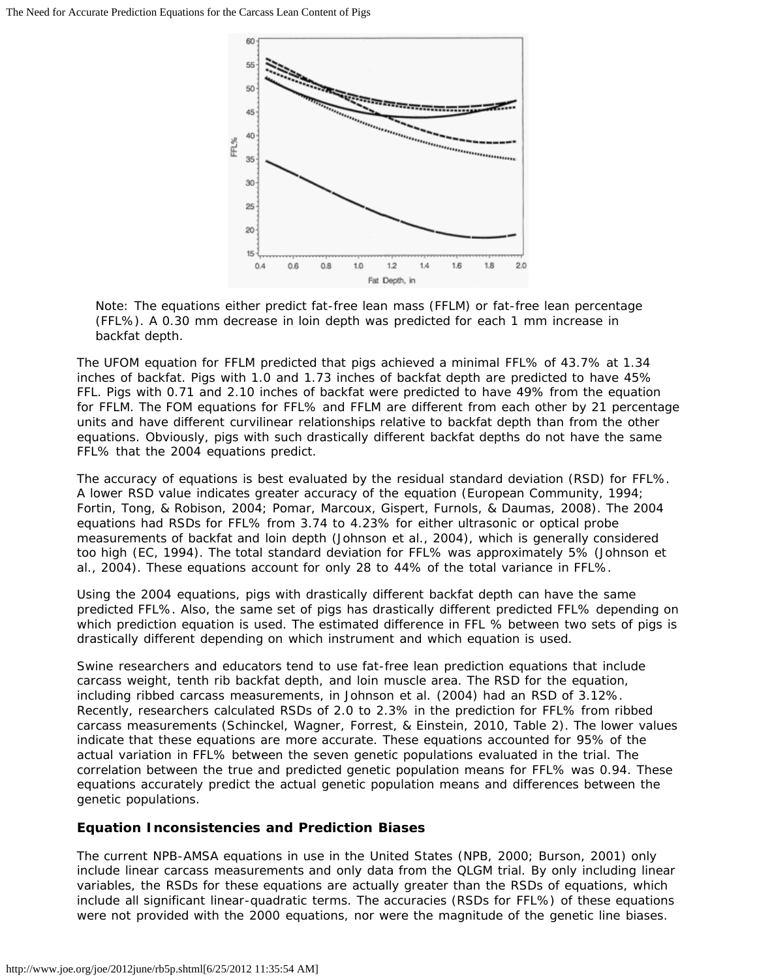

Note: The equations either predict fat-free lean mass (FFLM) or fat-free lean percentage (FFL%). A 0.30 mm decrease in loin depth was predicted for each 1 mm increase in backfat depth.

The UFOM equation for FFLM predicted that pigs achieved a minimal FFL% of 43.7% at 1.34 inches of backfat. Pigs with 1.0 and 1.73 inches of backfat depth are predicted to have 45% FFL. Pigs with 0.71 and 2.10 inches of backfat were predicted to have 49% from the equation for FFLM. The FOM equations for FFL% and FFLM are different from each other by 21 percentage units and have different curvilinear relationships relative to backfat depth than from the other equations. Obviously, pigs with such drastically different backfat depths do not have the same FFL% that the 2004 equations predict.

The accuracy of equations is best evaluated by the residual standard deviation (RSD) for FFL%. A lower RSD value indicates greater accuracy of the equation (European Community, 1994; Fortin, Tong, & Robison, 2004; Pomar, Marcoux, Gispert, Furnols, & Daumas, 2008). The 2004 equations had RSDs for FFL% from 3.74 to 4.23% for either ultrasonic or optical probe measurements of backfat and loin depth (Johnson et al., 2004), which is generally considered too high (EC, 1994). The total standard deviation for FFL% was approximately 5% (Johnson et al., 2004). These equations account for only 28 to 44% of the total variance in FFL%.

Using the 2004 equations, pigs with drastically different backfat depth can have the same predicted FFL%. Also, the same set of pigs has drastically different predicted FFL% depending on which prediction equation is used. The estimated difference in FFL % between two sets of pigs is drastically different depending on which instrument and which equation is used.

Swine researchers and educators tend to use fat-free lean prediction equations that include carcass weight, tenth rib backfat depth, and loin muscle area. The RSD for the equation, including ribbed carcass measurements, in Johnson et al. (2004) had an RSD of 3.12%. Recently, researchers calculated RSDs of 2.0 to 2.3% in the prediction for FFL% from ribbed carcass measurements (Schinckel, Wagner, Forrest, & Einstein, 2010, Table 2). The lower values indicate that these equations are more accurate. These equations accounted for 95% of the actual variation in FFL% between the seven genetic populations evaluated in the trial. The correlation between the true and predicted genetic population means for FFL% was 0.94. These equations accurately predict the actual genetic population means and differences between the genetic populations.

#### **Equation Inconsistencies and Prediction Biases**

The current NPB-AMSA equations in use in the United States (NPB, 2000; Burson, 2001) only include linear carcass measurements and only data from the QLGM trial. By only including linear variables, the RSDs for these equations are actually greater than the RSDs of equations, which include all significant linear-quadratic terms. The accuracies (RSDs for FFL%) of these equations were not provided with the 2000 equations, nor were the magnitude of the genetic line biases.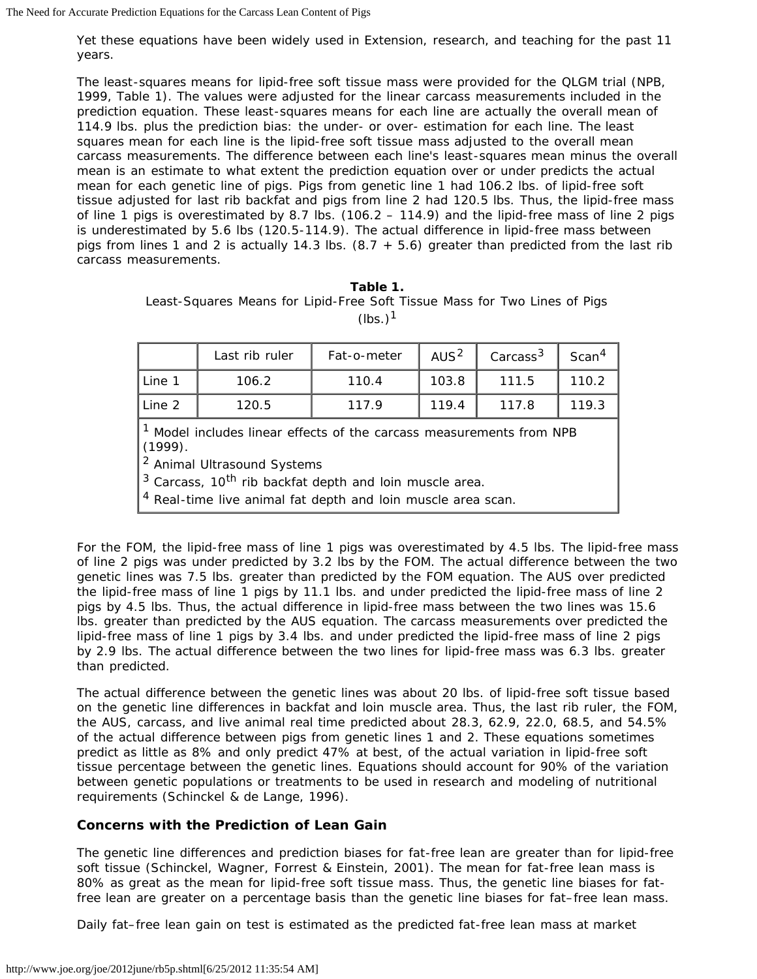Yet these equations have been widely used in Extension, research, and teaching for the past 11 years.

The least-squares means for lipid-free soft tissue mass were provided for the QLGM trial (NPB, 1999, Table 1). The values were adjusted for the linear carcass measurements included in the prediction equation. These least-squares means for each line are actually the overall mean of 114.9 lbs. plus the prediction bias: the under- or over- estimation for each line. The least squares mean for each line is the lipid-free soft tissue mass adjusted to the overall mean carcass measurements. The difference between each line's least-squares mean minus the overall mean is an estimate to what extent the prediction equation over or under predicts the actual mean for each genetic line of pigs. Pigs from genetic line 1 had 106.2 lbs. of lipid-free soft tissue adjusted for last rib backfat and pigs from line 2 had 120.5 lbs. Thus, the lipid-free mass of line 1 pigs is overestimated by 8.7 lbs. (106.2 – 114.9) and the lipid-free mass of line 2 pigs is underestimated by 5.6 lbs (120.5-114.9). The actual difference in lipid-free mass between pigs from lines 1 and 2 is actually 14.3 lbs.  $(8.7 + 5.6)$  greater than predicted from the last rib carcass measurements.

| Table 1. |  |  |                                                                           |  |  |  |  |  |  |  |
|----------|--|--|---------------------------------------------------------------------------|--|--|--|--|--|--|--|
|          |  |  | Least-Squares Means for Lipid-Free Soft Tissue Mass for Two Lines of Pigs |  |  |  |  |  |  |  |
|          |  |  | $(lbs.)$ <sup>1</sup>                                                     |  |  |  |  |  |  |  |

|        | Last rib ruler | Fat-o-meter | AUS <sup>2</sup> | Carcass <sup>3</sup> | Scan <sup>4</sup> |
|--------|----------------|-------------|------------------|----------------------|-------------------|
| Line 1 | 106.2          | 110.4       | 103.8            | 111.5                | 110.2             |
| Line 2 | 120.5          | 117.9       | 119.4            | 117.8                | 119.3             |
|        |                |             |                  |                      |                   |

<sup>1</sup> Model includes linear effects of the carcass measurements from NPB (1999).

2 Animal Ultrasound Systems

 $3$  Carcass, 10<sup>th</sup> rib backfat depth and loin muscle area.

<sup>4</sup> Real-time live animal fat depth and loin muscle area scan.

For the FOM, the lipid-free mass of line 1 pigs was overestimated by 4.5 lbs. The lipid-free mass of line 2 pigs was under predicted by 3.2 lbs by the FOM. The actual difference between the two genetic lines was 7.5 lbs. greater than predicted by the FOM equation. The AUS over predicted the lipid-free mass of line 1 pigs by 11.1 lbs. and under predicted the lipid-free mass of line 2 pigs by 4.5 lbs. Thus, the actual difference in lipid-free mass between the two lines was 15.6 lbs. greater than predicted by the AUS equation. The carcass measurements over predicted the lipid-free mass of line 1 pigs by 3.4 lbs. and under predicted the lipid-free mass of line 2 pigs by 2.9 lbs. The actual difference between the two lines for lipid-free mass was 6.3 lbs. greater than predicted.

The actual difference between the genetic lines was about 20 lbs. of lipid-free soft tissue based on the genetic line differences in backfat and loin muscle area. Thus, the last rib ruler, the FOM, the AUS, carcass, and live animal real time predicted about 28.3, 62.9, 22.0, 68.5, and 54.5% of the actual difference between pigs from genetic lines 1 and 2. These equations sometimes predict as little as 8% and only predict 47% at best, of the actual variation in lipid-free soft tissue percentage between the genetic lines. Equations should account for 90% of the variation between genetic populations or treatments to be used in research and modeling of nutritional requirements (Schinckel & de Lange, 1996).

#### **Concerns with the Prediction of Lean Gain**

The genetic line differences and prediction biases for fat-free lean are greater than for lipid-free soft tissue (Schinckel, Wagner, Forrest & Einstein, 2001). The mean for fat-free lean mass is 80% as great as the mean for lipid-free soft tissue mass. Thus, the genetic line biases for fatfree lean are greater on a percentage basis than the genetic line biases for fat–free lean mass.

Daily fat–free lean gain on test is estimated as the predicted fat-free lean mass at market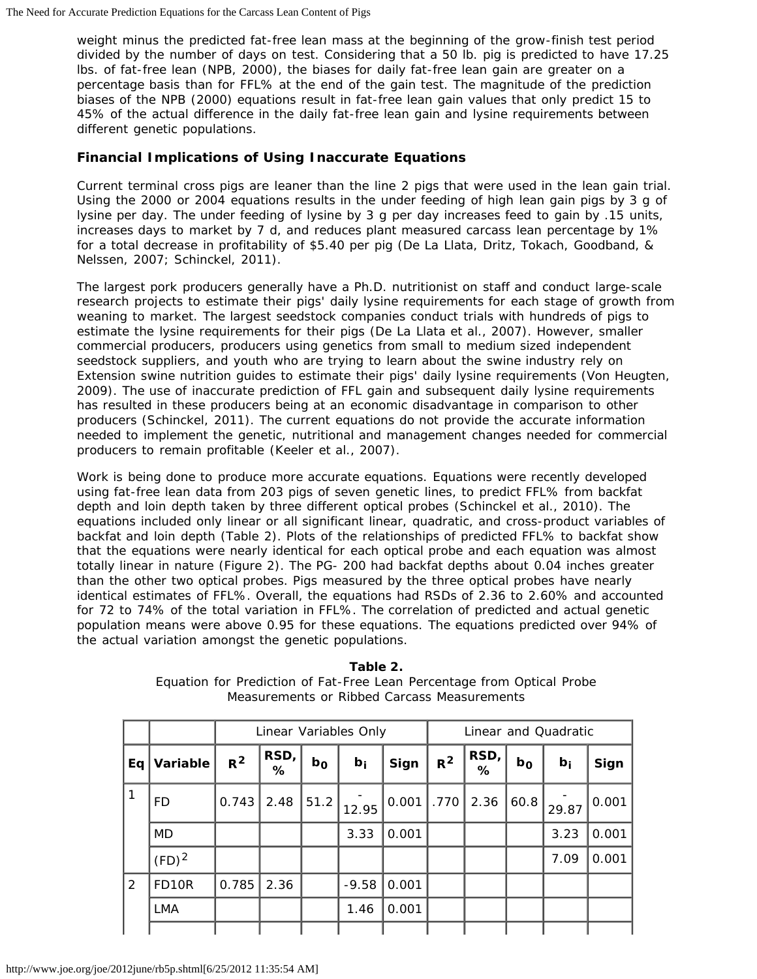weight minus the predicted fat-free lean mass at the beginning of the grow-finish test period divided by the number of days on test. Considering that a 50 lb. pig is predicted to have 17.25 lbs. of fat-free lean (NPB, 2000), the biases for daily fat-free lean gain are greater on a percentage basis than for FFL% at the end of the gain test. The magnitude of the prediction biases of the NPB (2000) equations result in fat-free lean gain values that only predict 15 to 45% of the actual difference in the daily fat-free lean gain and lysine requirements between different genetic populations.

#### **Financial Implications of Using Inaccurate Equations**

Current terminal cross pigs are leaner than the line 2 pigs that were used in the lean gain trial. Using the 2000 or 2004 equations results in the under feeding of high lean gain pigs by 3 g of lysine per day. The under feeding of lysine by 3 g per day increases feed to gain by .15 units, increases days to market by 7 d, and reduces plant measured carcass lean percentage by 1% for a total decrease in profitability of \$5.40 per pig (De La Llata, Dritz, Tokach, Goodband, & Nelssen, 2007; Schinckel, 2011).

The largest pork producers generally have a Ph.D. nutritionist on staff and conduct large-scale research projects to estimate their pigs' daily lysine requirements for each stage of growth from weaning to market. The largest seedstock companies conduct trials with hundreds of pigs to estimate the lysine requirements for their pigs (De La Llata et al., 2007). However, smaller commercial producers, producers using genetics from small to medium sized independent seedstock suppliers, and youth who are trying to learn about the swine industry rely on Extension swine nutrition guides to estimate their pigs' daily lysine requirements (Von Heugten, 2009). The use of inaccurate prediction of FFL gain and subsequent daily lysine requirements has resulted in these producers being at an economic disadvantage in comparison to other producers (Schinckel, 2011). The current equations do not provide the accurate information needed to implement the genetic, nutritional and management changes needed for commercial producers to remain profitable (Keeler et al., 2007).

Work is being done to produce more accurate equations. Equations were recently developed using fat-free lean data from 203 pigs of seven genetic lines, to predict FFL% from backfat depth and loin depth taken by three different optical probes (Schinckel et al., 2010). The equations included only linear or all significant linear, quadratic, and cross-product variables of backfat and loin depth (Table 2). Plots of the relationships of predicted FFL% to backfat show that the equations were nearly identical for each optical probe and each equation was almost totally linear in nature (Figure 2). The PG- 200 had backfat depths about 0.04 inches greater than the other two optical probes. Pigs measured by the three optical probes have nearly identical estimates of FFL%. Overall, the equations had RSDs of 2.36 to 2.60% and accounted for 72 to 74% of the total variation in FFL%. The correlation of predicted and actual genetic population means were above 0.95 for these equations. The equations predicted over 94% of the actual variation amongst the genetic populations.

|                |                   | Linear Variables Only |           |                |         |       | Linear and Quadratic |              |       |       |       |  |
|----------------|-------------------|-----------------------|-----------|----------------|---------|-------|----------------------|--------------|-------|-------|-------|--|
| Eq             | Variable          | $R^2$                 | RSD,<br>℅ | b <sub>0</sub> | $b_i$   | Sign  | $R^2$                | RSD,<br>$\%$ | $b_0$ | $b_i$ | Sign  |  |
| 1              | FD                | 0.743                 | 2.48      | 51.2           | 12.95   | 0.001 | .770                 | 2.36         | 60.8  | 29.87 | 0.001 |  |
|                | MD                |                       |           |                | 3.33    | 0.001 |                      |              |       | 3.23  | 0.001 |  |
|                | $(FD)^2$          |                       |           |                |         |       |                      |              |       | 7.09  | 0.001 |  |
| $\overline{2}$ | FD <sub>10R</sub> | 0.785                 | 2.36      |                | $-9.58$ | 0.001 |                      |              |       |       |       |  |
|                | <b>LMA</b>        |                       |           |                | 1.46    | 0.001 |                      |              |       |       |       |  |
|                |                   |                       |           |                |         |       |                      |              |       |       |       |  |

**Table 2.** Equation for Prediction of Fat-Free Lean Percentage from Optical Probe Measurements or Ribbed Carcass Measurements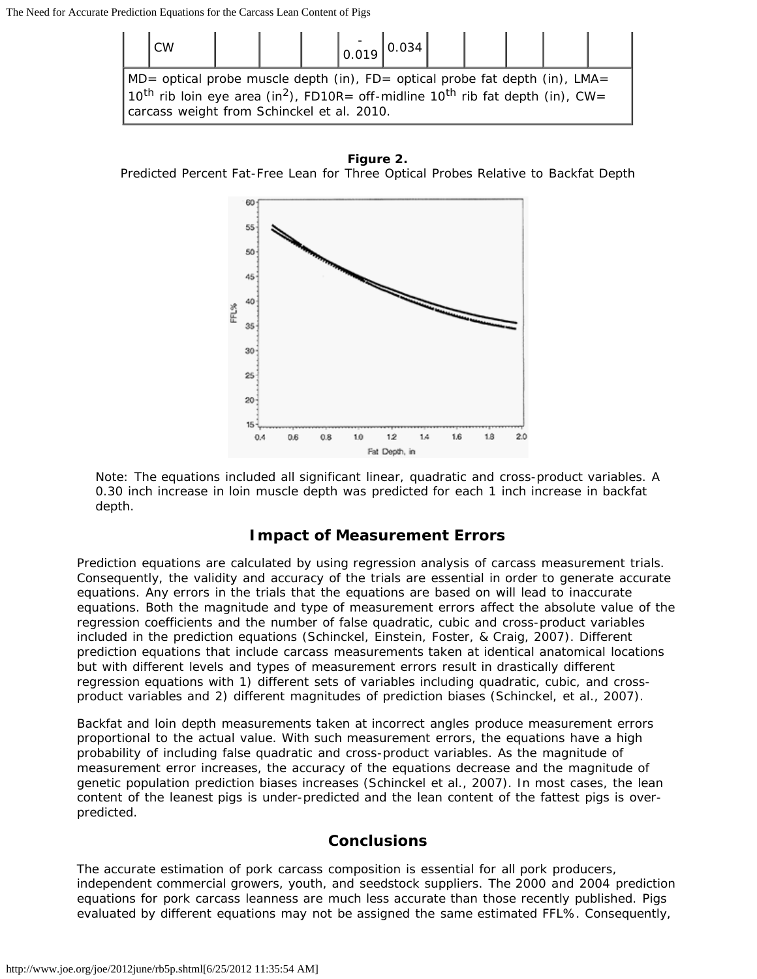

#### **Figure 2.**

Predicted Percent Fat-Free Lean for Three Optical Probes Relative to Backfat Depth



Note: The equations included all significant linear, quadratic and cross-product variables. A 0.30 inch increase in loin muscle depth was predicted for each 1 inch increase in backfat depth.

#### **Impact of Measurement Errors**

Prediction equations are calculated by using regression analysis of carcass measurement trials. Consequently, the validity and accuracy of the trials are essential in order to generate accurate equations. Any errors in the trials that the equations are based on will lead to inaccurate equations. Both the magnitude and type of measurement errors affect the absolute value of the regression coefficients and the number of false quadratic, cubic and cross-product variables included in the prediction equations (Schinckel, Einstein, Foster, & Craig, 2007). Different prediction equations that include carcass measurements taken at identical anatomical locations but with different levels and types of measurement errors result in drastically different regression equations with 1) different sets of variables including quadratic, cubic, and crossproduct variables and 2) different magnitudes of prediction biases (Schinckel, et al., 2007).

Backfat and loin depth measurements taken at incorrect angles produce measurement errors proportional to the actual value. With such measurement errors, the equations have a high probability of including false quadratic and cross-product variables. As the magnitude of measurement error increases, the accuracy of the equations decrease and the magnitude of genetic population prediction biases increases (Schinckel et al., 2007). In most cases, the lean content of the leanest pigs is under-predicted and the lean content of the fattest pigs is overpredicted.

#### **Conclusions**

The accurate estimation of pork carcass composition is essential for all pork producers, independent commercial growers, youth, and seedstock suppliers. The 2000 and 2004 prediction equations for pork carcass leanness are much less accurate than those recently published. Pigs evaluated by different equations may not be assigned the same estimated FFL%. Consequently,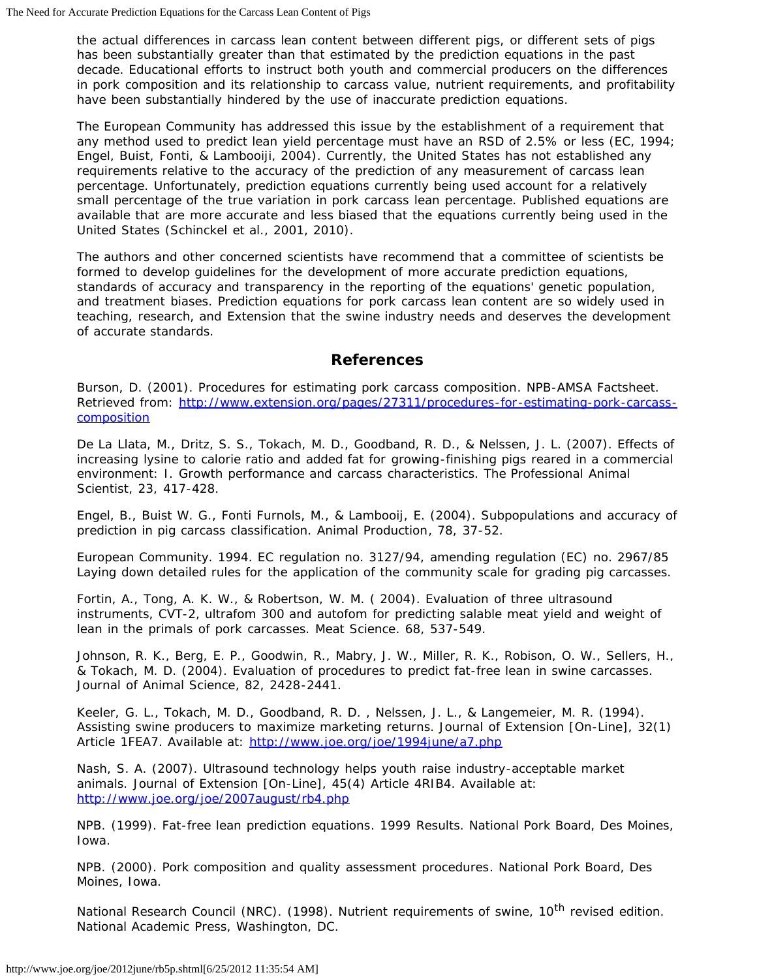the actual differences in carcass lean content between different pigs, or different sets of pigs has been substantially greater than that estimated by the prediction equations in the past decade. Educational efforts to instruct both youth and commercial producers on the differences in pork composition and its relationship to carcass value, nutrient requirements, and profitability have been substantially hindered by the use of inaccurate prediction equations.

The European Community has addressed this issue by the establishment of a requirement that any method used to predict lean yield percentage must have an RSD of 2.5% or less (EC, 1994; Engel, Buist, Fonti, & Lambooiji, 2004). Currently, the United States has not established any requirements relative to the accuracy of the prediction of any measurement of carcass lean percentage. Unfortunately, prediction equations currently being used account for a relatively small percentage of the true variation in pork carcass lean percentage. Published equations are available that are more accurate and less biased that the equations currently being used in the United States (Schinckel et al., 2001, 2010).

The authors and other concerned scientists have recommend that a committee of scientists be formed to develop guidelines for the development of more accurate prediction equations, standards of accuracy and transparency in the reporting of the equations' genetic population, and treatment biases. Prediction equations for pork carcass lean content are so widely used in teaching, research, and Extension that the swine industry needs and deserves the development of accurate standards.

### **References**

Burson, D. (2001). *Procedures for estimating pork carcass composition*. NPB-AMSA Factsheet. Retrieved from: [http://www.extension.org/pages/27311/procedures-for-estimating-pork-carcass](http://www.extension.org/pages/27311/procedures-for-estimating-pork-carcass-composition)**[composition](http://www.extension.org/pages/27311/procedures-for-estimating-pork-carcass-composition)** 

De La Llata, M., Dritz, S. S., Tokach, M. D., Goodband, R. D., & Nelssen, J. L. (2007). Effects of increasing lysine to calorie ratio and added fat for growing-finishing pigs reared in a commercial environment: I. Growth performance and carcass characteristics. *The Professional Animal Scientist*, 23, 417-428.

Engel, B., Buist W. G., Fonti Furnols, M., & Lambooij, E. (2004). Subpopulations and accuracy of prediction in pig carcass classification. *Animal Production*, 78, 37-52.

European Community. 1994. EC regulation no. 3127/94, amending regulation (EC) no. 2967/85 Laying down detailed rules for the application of the community scale for grading pig carcasses.

Fortin, A., Tong, A. K. W., & Robertson, W. M. ( 2004). Evaluation of three ultrasound instruments, CVT-2, ultrafom 300 and autofom for predicting salable meat yield and weight of lean in the primals of pork carcasses. *Meat Science*. 68, 537-549.

Johnson, R. K., Berg, E. P., Goodwin, R., Mabry, J. W., Miller, R. K., Robison, O. W., Sellers, H., & Tokach, M. D. (2004). Evaluation of procedures to predict fat-free lean in swine carcasses. *Journal of Animal Science*, 82, 2428-2441.

Keeler, G. L., Tokach, M. D., Goodband, R. D. , Nelssen, J. L., & Langemeier, M. R. (1994). Assisting swine producers to maximize marketing returns. *Journal of Extension* [On-Line], 32(1) Article 1FEA7. Available at: <http://www.joe.org/joe/1994june/a7.php>

Nash, S. A. (2007). Ultrasound technology helps youth raise industry-acceptable market animals. Journal of Extension [On-Line], 45(4) Article 4RIB4. Available at: <http://www.joe.org/joe/2007august/rb4.php>

NPB. (1999). *Fat-free lean prediction equations*. 1999 Results. National Pork Board, Des Moines, Iowa.

NPB. (2000). *Pork composition and quality assessment procedures*. National Pork Board, Des Moines, Iowa.

National Research Council (NRC). (1998). *Nutrient requirements of swine, 10th revised edition.* National Academic Press, Washington, DC.